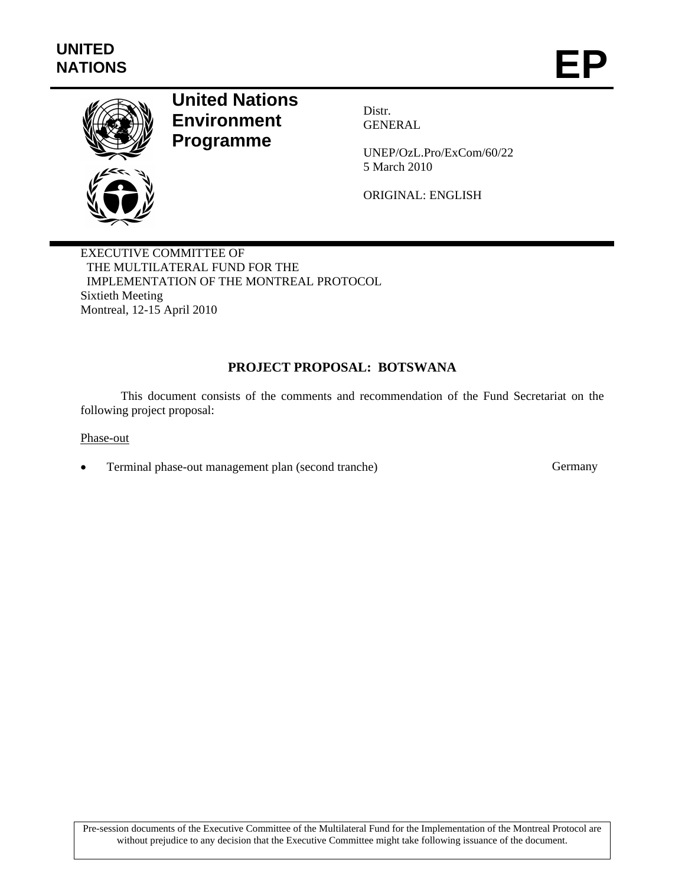

# **United Nations Environment Programme**

Distr. GENERAL

UNEP/OzL.Pro/ExCom/60/22 5 March 2010

ORIGINAL: ENGLISH

EXECUTIVE COMMITTEE OF THE MULTILATERAL FUND FOR THE IMPLEMENTATION OF THE MONTREAL PROTOCOL Sixtieth Meeting Montreal, 12-15 April 2010

# **PROJECT PROPOSAL: BOTSWANA**

This document consists of the comments and recommendation of the Fund Secretariat on the following project proposal:

Phase-out

Terminal phase-out management plan (second tranche) Germany

Pre-session documents of the Executive Committee of the Multilateral Fund for the Implementation of the Montreal Protocol are without prejudice to any decision that the Executive Committee might take following issuance of the document.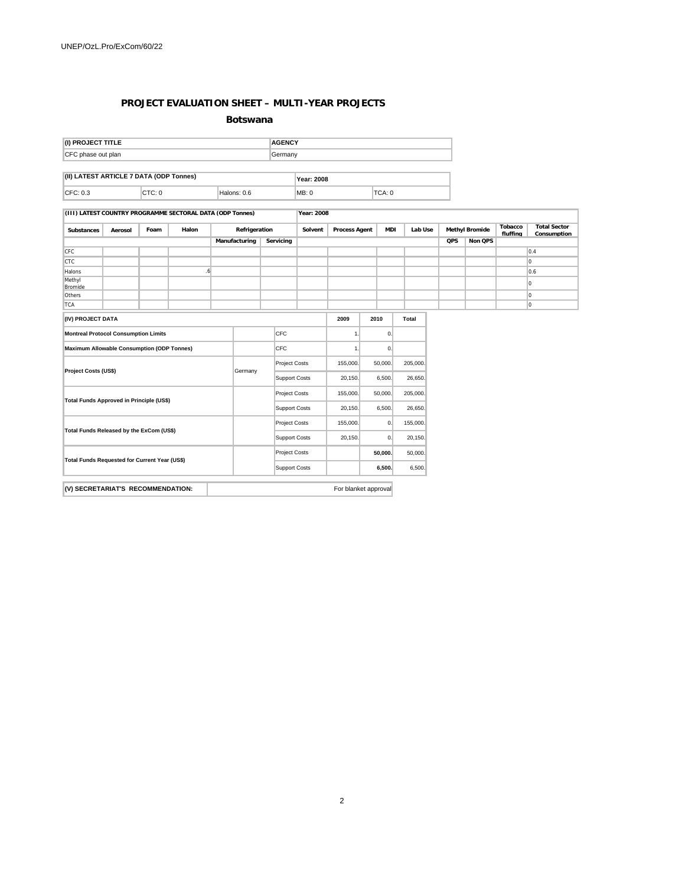#### **PROJECT EVALUATION SHEET – MULTI-YEAR PROJECTS**

**Botswana**

| (I) PROJECT TITLE                       |        | <b>AGENCY</b> |                   |       |        |  |  |
|-----------------------------------------|--------|---------------|-------------------|-------|--------|--|--|
| CFC phase out plan                      |        | Germany       |                   |       |        |  |  |
|                                         |        |               |                   |       |        |  |  |
| (II) LATEST ARTICLE 7 DATA (ODP Tonnes) |        |               | <b>Year: 2008</b> |       |        |  |  |
| CFC: 0.3                                | CTC: 0 | Halons: 0.6   |                   | MB: 0 | TCA: 0 |  |  |

**(III) LATEST COUNTRY PROGRAMME SECTORAL DATA (ODP Tonnes) Year: 2008**

| <b>Substances</b>                               | Halon<br>Foam<br>Aerosol                          |  |  | Refrigeration |                      | Solvent              |                      | <b>Process Agent</b><br><b>MDI</b> |                      | Lab Use  |         | <b>Methyl Bromide</b> |            | <b>Total Sector</b><br>Consumption |  |          |
|-------------------------------------------------|---------------------------------------------------|--|--|---------------|----------------------|----------------------|----------------------|------------------------------------|----------------------|----------|---------|-----------------------|------------|------------------------------------|--|----------|
|                                                 |                                                   |  |  |               | Manufacturing        |                      | Servicing            |                                    |                      |          |         |                       | <b>QPS</b> | Non QPS                            |  |          |
| <b>CFC</b>                                      |                                                   |  |  |               |                      |                      |                      |                                    |                      |          |         |                       |            |                                    |  | 0.4      |
| <b>CTC</b>                                      |                                                   |  |  |               |                      |                      |                      |                                    |                      |          |         |                       |            |                                    |  | O        |
| Halons                                          |                                                   |  |  | .6            |                      |                      |                      |                                    |                      |          |         |                       |            |                                    |  | 0.6      |
| Methyl<br>Bromide                               |                                                   |  |  |               |                      |                      |                      |                                    |                      |          |         |                       |            |                                    |  | $\Omega$ |
| Others                                          |                                                   |  |  |               |                      |                      |                      |                                    |                      |          |         |                       |            |                                    |  | 0        |
| <b>TCA</b>                                      |                                                   |  |  |               |                      |                      |                      |                                    |                      |          |         |                       |            |                                    |  | O        |
| (IV) PROJECT DATA                               |                                                   |  |  |               |                      |                      |                      |                                    | 2009                 | 2010     |         | Total                 |            |                                    |  |          |
| <b>Montreal Protocol Consumption Limits</b>     |                                                   |  |  | CFC           |                      |                      | 1.                   |                                    | 0.                   |          |         |                       |            |                                    |  |          |
|                                                 | <b>Maximum Allowable Consumption (ODP Tonnes)</b> |  |  |               |                      |                      | CFC                  |                                    | 1.                   |          | 0.      |                       |            |                                    |  |          |
|                                                 |                                                   |  |  |               | <b>Project Costs</b> |                      | 155,000.             |                                    | 50,000.              | 205,000. |         |                       |            |                                    |  |          |
|                                                 | Project Costs (US\$)                              |  |  | Germany       |                      | <b>Support Costs</b> |                      | 20,150.                            |                      | 6,500.   | 26,650. |                       |            |                                    |  |          |
| <b>Total Funds Approved in Principle (US\$)</b> |                                                   |  |  |               | <b>Project Costs</b> |                      | 155,000.             |                                    | 50,000.              | 205,000. |         |                       |            |                                    |  |          |
|                                                 |                                                   |  |  |               | <b>Support Costs</b> |                      |                      | 20,150.                            |                      | 6,500.   | 26,650. |                       |            |                                    |  |          |
| Total Funds Released by the ExCom (US\$)        |                                                   |  |  |               | Project Costs        |                      | 155,000.             |                                    | 0.                   | 155,000. |         |                       |            |                                    |  |          |
|                                                 |                                                   |  |  |               |                      |                      | <b>Support Costs</b> |                                    | 20,150.              |          | 0.      | 20,150.               |            |                                    |  |          |
| Total Funds Requested for Current Year (US\$)   |                                                   |  |  |               | <b>Project Costs</b> |                      |                      |                                    | 50,000.              | 50,000.  |         |                       |            |                                    |  |          |
|                                                 |                                                   |  |  |               | <b>Support Costs</b> |                      |                      |                                    | 6,500.               | 6,500.   |         |                       |            |                                    |  |          |
|                                                 |                                                   |  |  |               |                      |                      |                      |                                    | For blanket approval |          |         |                       |            |                                    |  |          |
| (V) SECRETARIAT'S RECOMMENDATION:               |                                                   |  |  |               |                      |                      |                      |                                    |                      |          |         |                       |            |                                    |  |          |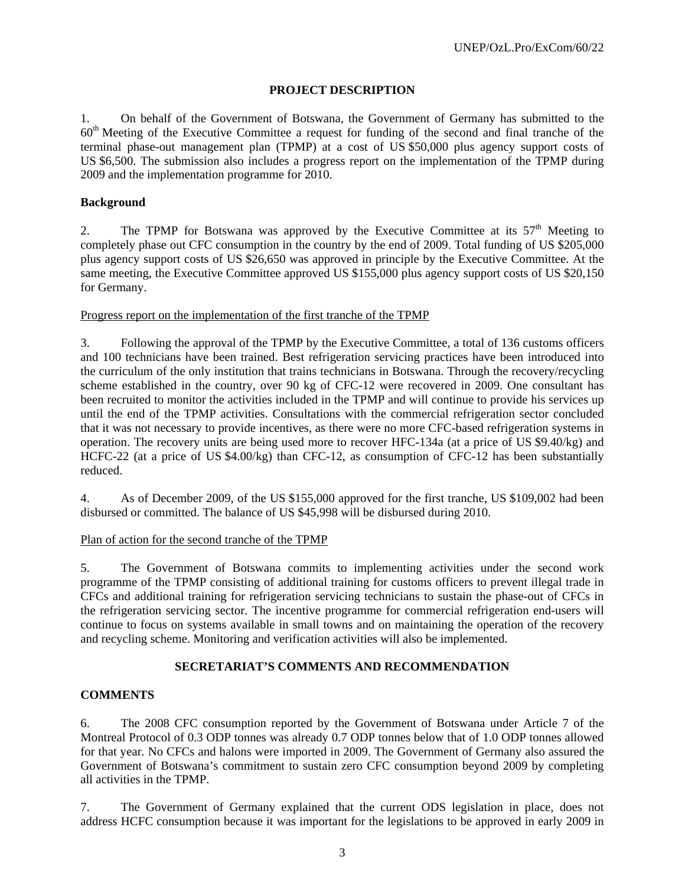## **PROJECT DESCRIPTION**

1. On behalf of the Government of Botswana, the Government of Germany has submitted to the 60th Meeting of the Executive Committee a request for funding of the second and final tranche of the terminal phase-out management plan (TPMP) at a cost of US \$50,000 plus agency support costs of US \$6,500. The submission also includes a progress report on the implementation of the TPMP during 2009 and the implementation programme for 2010.

#### **Background**

2. The TPMP for Botswana was approved by the Executive Committee at its  $57<sup>th</sup>$  Meeting to completely phase out CFC consumption in the country by the end of 2009. Total funding of US \$205,000 plus agency support costs of US \$26,650 was approved in principle by the Executive Committee. At the same meeting, the Executive Committee approved US \$155,000 plus agency support costs of US \$20,150 for Germany.

#### Progress report on the implementation of the first tranche of the TPMP

3. Following the approval of the TPMP by the Executive Committee, a total of 136 customs officers and 100 technicians have been trained. Best refrigeration servicing practices have been introduced into the curriculum of the only institution that trains technicians in Botswana. Through the recovery/recycling scheme established in the country, over 90 kg of CFC-12 were recovered in 2009. One consultant has been recruited to monitor the activities included in the TPMP and will continue to provide his services up until the end of the TPMP activities. Consultations with the commercial refrigeration sector concluded that it was not necessary to provide incentives, as there were no more CFC-based refrigeration systems in operation. The recovery units are being used more to recover HFC-134a (at a price of US \$9.40/kg) and HCFC-22 (at a price of US \$4.00/kg) than CFC-12, as consumption of CFC-12 has been substantially reduced.

4. As of December 2009, of the US \$155,000 approved for the first tranche, US \$109,002 had been disbursed or committed. The balance of US \$45,998 will be disbursed during 2010.

#### Plan of action for the second tranche of the TPMP

5. The Government of Botswana commits to implementing activities under the second work programme of the TPMP consisting of additional training for customs officers to prevent illegal trade in CFCs and additional training for refrigeration servicing technicians to sustain the phase-out of CFCs in the refrigeration servicing sector. The incentive programme for commercial refrigeration end-users will continue to focus on systems available in small towns and on maintaining the operation of the recovery and recycling scheme. Monitoring and verification activities will also be implemented.

#### **SECRETARIAT'S COMMENTS AND RECOMMENDATION**

## **COMMENTS**

6. The 2008 CFC consumption reported by the Government of Botswana under Article 7 of the Montreal Protocol of 0.3 ODP tonnes was already 0.7 ODP tonnes below that of 1.0 ODP tonnes allowed for that year. No CFCs and halons were imported in 2009. The Government of Germany also assured the Government of Botswana's commitment to sustain zero CFC consumption beyond 2009 by completing all activities in the TPMP.

7. The Government of Germany explained that the current ODS legislation in place, does not address HCFC consumption because it was important for the legislations to be approved in early 2009 in